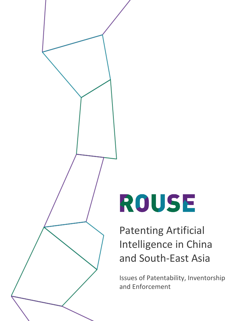# ROUSE

# Patenting Artificial Intelligence in China and South-East Asia

Issues of Patentability, Inventorship and Enforcement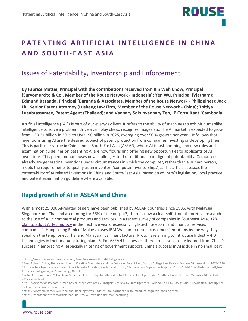# **PATENTING ARTIFICIAL INTELLIGENCE IN CHINA AND SOUTH - EAST ASI A**

## Issues of Patentability, Inventorship and Enforcement

**By Fabrice Mattei, Principal with the contributions received from Kin Wah Chow, Principal (Suryomurcito & Co., Member of the Rouse Network - Indonesia); Yen Wu, Principal (Vietnam); Edmund Baranda, Principal (Baranda & Associates, Member of the Rouse Network - Philippines); Jack Liu, Senior Patent Attorney (Lusheng Law Firm, Member of the Rouse Network - China); Thitiya Lueabrassamee, Patent Agent (Thailand); and Vannary Sokunvannary Tep, IP Consultant (Cambodia).**

Artificial Intelligence ("AI") is part of our everyday lives. It refers to the ability of machines to exhibit humanlike intelligence to solve a problem, drive a car, play chess, recognize images etc. The AI market is expected to grow from USD 21 billion in 2019 to USD 190 billion in 2025, averaging over 50 % growth per year1. It follows that inventions using AI are the desired subject of patent protection from companies investing or developing them. This is particularly true in China and in South-East Asia (ASEAN) where AI is fast booming and new rules and examination guidelines on patenting AI are now flourishing offering new opportunities to applicants of AI inventions. This phenomenon poses new challenges to the traditional paradigm of patentability. Computers already are generating inventions under circumstances in which the computer, rather than a human person, meets the requirements to qualify as an inventor ('computer inventorships')2. This article assesses the patentability of AI related inventions in China and South-East Asia, based on country's legislation, local practice and patent examination guideline where available.

### **Rapid growth of AI in ASEAN and China**

With almost 25,000 AI-related papers have been published by ASEAN countries since 1985, with Malaysia Singapore and Thailand accounting for 86% of the output3, there is now a clear shift from theoretical research to the use of AI in commercial products and services. In a recent survey of companies in Southeast Asia, 37% plan to adopt AI technology in the next five years, especially high-tech, telecom, and financial services companies4. Hong Leong Bank of Malaysia uses IBM Watson to detect customers' emotions by the way they speak on the telephone5. Thai and Malaysian car manufacturer Proton are aiming to introduce Industry 4.0 technologies in their manufacturing plants6. For ASEAN businesses, there are lessons to be learned from China's success in embracing AI especially in terms of government support. China's success in AI is due in no small part

<sup>1</sup> https://www.marketsandmarkets.com/PressReleases/artificial-intelligence.asp

<sup>&</sup>lt;sup>2</sup> Ryan Abbot, I Think, Therefore I Invent: Creative Computers and the Future of Patent Law, Boston College Law Review, Volume 57, Issue 4 pp. 1079-1126. <sup>3</sup> Artificial Intelligence in Southeast Asia, Clarivate Analytics, available at: https://clarivate.com/wp-content/uploads/2018/02/M287-SAR-Industry-Bytes-Artificial-Intelligence\_SellSheetLong\_002.pdf

<sup>4</sup>Sachin Chitturu, Diaan-Yi Lin, Kevin Sneader, Oliver Tonby, Jonathan Woetzel Artificial Intelligence And Southeast Asia's Future, McKinsey Global Institute, 2017 available at

https://www.mckinsey.com/~/media/McKinsey/Featured%20Insights/Artificial%20Intelligence/AI%20and%20SE%20ASIA%20future/Artificial-intelligenceand-Southeast-Asias-future.ashx

<sup>5</sup> https://www.hlb.com.my/en/personal-banking/news-updates/ibm-partners-hlb-to-introduce-cognitive-banking.html

<sup>6</sup> https://theaseanpost.com/article/can-industry-40-revolutionise-manufacturing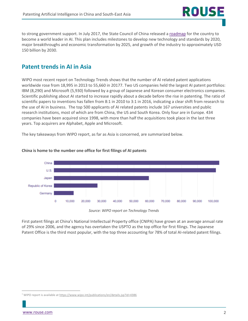

to strong government support. In July 2017, the State Council of China released a roadmap for the country to become a world leader in AI. This plan includes milestones to develop new technology and standards by 2020, major breakthroughs and economic transformation by 2025, and growth of the industry to approximately USD 150 billion by 2030.

### **Patent trends in AI in Asia**

WIPO most recent report on Technology Trends shows that the number of AI related patent applications worldwide rose from 18,995 in 2013 to 55,660 in 20177. Two US companies held the largest AI patent portfolios: IBM (8,290) and Microsoft (5,930) followed by a group of Japanese and Korean consumer electronics companies. Scientific publishing about AI started to increase rapidly about a decade before the rise in patenting. The ratio of scientific papers to inventions has fallen from 8:1 in 2010 to 3:1 in 2016, indicating a clear shift from research to the use of AI in business. The top 500 applicants of AI related patents include 167 universities and public research institutions, most of which are from China, the US and South Korea. Only four are in Europe. 434 companies have been acquired since 1998, with more than half the acquisitions took place in the last three years. Top acquirers are Alphabet, Apple and Microsoft.

The key takeaways from WIPO report, as far as Asia is concerned, are summarized below.



#### **China is home to the number one office for first filings of AI patents**

First patent filings at China's National Intellectual Property office (CNIPA) have grown at an average annual rate of 29% since 2006, and the agency has overtaken the USPTO as the top office for first filings. The Japanese Patent Office is the third most popular, with the top three accounting for 78% of total AI-related patent filings.

*Source: WIPO report on Technology Trends*

<sup>7</sup> WIPO report is available at https://www.wipo.int/publications/en/details.jsp?id=4386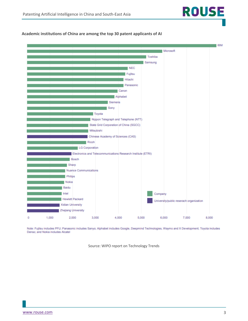#### **Academic institutions of China are among the top 30 patent applicants of AI**



Note: Fujitsu includes PFU; Panasonic includes Sanyo; Alphabet includes Google, Deepmind Technologies, Waymo and X Development; Toyota includes Denso; and Nokia includes Alcatel

Source: WIPO report on Technology Trends

ROUSE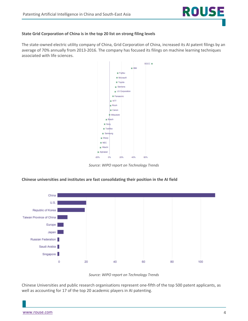

#### **State Grid Corporation of China is in the top 20 list on strong filing levels**

The state-owned electric utility company of China, Grid Corporation of China, increased its AI patent filings by an average of 70% annually from 2013-2016. The company has focused its filings on machine learning techniques associated with life sciences.



*Source: WIPO report on Technology Trends*

#### **Chinese universities and institutes are fast consolidating their position in the AI field**





Chinese Universities and public research organisations represent one-fifth of the top 500 patent applicants, as well as accounting for 17 of the top 20 academic players in AI patenting.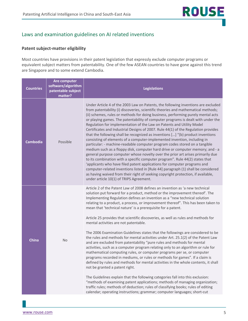#### Laws and examination guidelines on AI related inventions

#### **Patent subject-matter eligibility**

Most countries have provisions in their patent legislation that expressly exclude computer programs or equivalent subject matters from patentability. One of the few ASEAN countries to have gone against this trend are Singapore and to some extend Cambodia.

| <b>Countries</b> | Are computer<br>software/algorithm<br>patentable subject<br>matter? | <b>Legislations</b>                                                                                                                                                                                                                                                                                                                                                                                                                                                                                                                                                                                                                                                                                                                                                                                                                                                                                                                                                                                                                                                                                                                                                                                                                                                                                                                                                                                                                                                                  |
|------------------|---------------------------------------------------------------------|--------------------------------------------------------------------------------------------------------------------------------------------------------------------------------------------------------------------------------------------------------------------------------------------------------------------------------------------------------------------------------------------------------------------------------------------------------------------------------------------------------------------------------------------------------------------------------------------------------------------------------------------------------------------------------------------------------------------------------------------------------------------------------------------------------------------------------------------------------------------------------------------------------------------------------------------------------------------------------------------------------------------------------------------------------------------------------------------------------------------------------------------------------------------------------------------------------------------------------------------------------------------------------------------------------------------------------------------------------------------------------------------------------------------------------------------------------------------------------------|
| <b>Cambodia</b>  | Possible                                                            | Under Article 4 of the 2003 Law on Patents, the following inventions are excluded<br>from patentability (i) discoveries, scientific theories and mathematical methods;<br>(ii) schemes, rules or methods for doing business, performing purely mental acts<br>or playing games. The patentability of computer programs is dealt with under the<br>Regulation for implementation of the Law on Patents and Utility Model<br>Certificates and Industrial Designs of 2007. Rule 44(1) of the Regulation provides<br>that the following shall be recognized as inventions [] "(b) product inventions<br>consisting of elements of a computer-implemented invention, including in<br>particular: - machine-readable computer program codes stored on a tangible<br>medium such as a floppy disk, computer hard drive or computer memory; and - a<br>general purpose computer whose novelty over the prior art arises primarily due<br>to its combination with a specific computer program". Rule 44(2) states that<br>'applicants who have filed patent applications for computer programs and<br>computer-related inventions listed in [Rule 44] paragraph (1) shall be considered<br>as having waived from their right of seeking copyright protection, if available,<br>under article 10(1) of TRIPS Agreement.                                                                                                                                                                        |
| <b>China</b>     | <b>No</b>                                                           | Article 2 of the Patent Law of 2008 defines an invention as 'a new technical<br>solution put forward for a product, method or the improvement thereof'. The<br>Implementing Regulation defines an invention as a "new technical solution<br>relating to a product, a process, or improvement thereof". This has been taken to<br>mean that 'technical nature' is a prerequisite for a patent.<br>Article 25 provides that scientific discoveries, as well as rules and methods for<br>mental activities are not patentable.<br>The 2006 Examination Guidelines states that the followings are considered to be<br>the rules and methods for mental activities under Art. 25.1(2) of the Patent Law<br>and are excluded from patentability "pure rules and methods for mental<br>activities, such as a computer program relating only to an algorithm or rule for<br>mathematical computing rules, or computer programs per se, or computer<br>programs recorded in mediums, or rules or methods for games". If a claim is<br>defined by rules and methods for mental activities in the whole contents, it shall<br>not be granted a patent right.<br>The Guidelines explain that the following categories fall into this exclusion:<br>"methods of examining patent applications; methods of managing organization;<br>traffic rules; methods of deduction; rules of classifying books; rules of editing<br>calendar; operating instructions; grammar; computer languages; short-cut |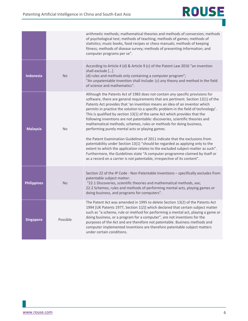# **ROUSE**

|                    |           | arithmetic methods; mathematical theories and methods of conversion; methods<br>of psychological test; methods of teaching; methods of games; methods of<br>statistics; music books, food recipes or chess manuals; methods of keeping<br>fitness; methods of disease survey; methods of presenting information; and<br>computer programs per se".                                                                                                                                                                                                                                                                                                                                                                                                                                                                                                                                                                                                                                                                                                |
|--------------------|-----------|---------------------------------------------------------------------------------------------------------------------------------------------------------------------------------------------------------------------------------------------------------------------------------------------------------------------------------------------------------------------------------------------------------------------------------------------------------------------------------------------------------------------------------------------------------------------------------------------------------------------------------------------------------------------------------------------------------------------------------------------------------------------------------------------------------------------------------------------------------------------------------------------------------------------------------------------------------------------------------------------------------------------------------------------------|
| <b>Indonesia</b>   | <b>No</b> | According to Article 4 (d) & Article 9 (c) of the Patent Law 2016 "an invention<br>shall exclude []<br>(d) rules and methods only containing a computer program";<br>"An unpatentable Invention shall include: (c) any theory and method in the field<br>of science and mathematics".                                                                                                                                                                                                                                                                                                                                                                                                                                                                                                                                                                                                                                                                                                                                                             |
| <b>Malaysia</b>    | No        | Although the Patents Act of 1983 does not contain any specific provisions for<br>software, there are general requirements that are pertinent. Section 12(1) of the<br>Patents Act provides that 'an invention means an idea of an inventor which<br>permits in practice the solution to a specific problem in the field of technology'.<br>This is qualified by section 13(1) of the same Act which provides that the<br>following inventions are not patentable: discoveries, scientific theories and<br>mathematical methods; schemes, rules or methods for doing business,<br>performing purely mental acts or playing games.<br>the Patent Examination Guidelines of 2011 indicate that the exclusions from<br>patentability under Section 13(1) "should be regarded as applying only to the<br>extent to which the application relates to the excluded subject-matter as such".<br>Furthermore, the Guidelines state "A computer programme claimed by itself or<br>as a record on a carrier is not patentable, irrespective of its content". |
| <b>Philippines</b> | <b>No</b> | Section 22 of the IP Code - Non-Patentable Inventions - specifically excludes from<br>patentable subject matter:<br>"22.1 Discoveries, scientific theories and mathematical methods, xxx;<br>22.2 Schemes, rules and methods of performing mental acts, playing games or<br>doing business, and programs for computers".                                                                                                                                                                                                                                                                                                                                                                                                                                                                                                                                                                                                                                                                                                                          |
| <b>Singapore</b>   | Possible  | The Patent Act was amended in 1995 to delete Section 13(2) of the Patents Act<br>1994 [UK Patents 1977, Section 1(2)] which declared that certain subject matter<br>such as "a scheme, rule or method for performing a mental act, playing a game or<br>doing business, or a program for a computer", are not inventions for the<br>purposes of the Act and are therefore not patentable. Business methods and<br>computer implemented inventions are therefore patentable subject matters<br>under certain conditions.                                                                                                                                                                                                                                                                                                                                                                                                                                                                                                                           |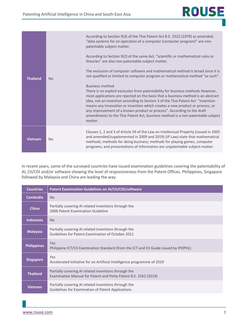#### **Thailand** No According to Section 9(3) of the Thai Patent Act B.E. 2522 (1979) as amended, "data systems for an operation of a computer (computer program)" are nonpatentable subject matter. According to Section 9(2) of the same Act, "scientific or mathematical rules or theories" are also non-patentable subject matter. The exclusion of computer software and mathematical method is broad since it is not qualified or limited to computer program or mathematical method "as such". Business method There is no explicit exclusion from patentability for business methods However, most applications are rejected on the basis that a business method is an abstract idea, not an invention according to Section 3 of the Thai Patent Act "invention means any innovation or invention which creates a new product or process, or any improvement of a known product or process". According to the draft amendments to the Thai Patent Act, business method is a non-patentable subject matter. **Vietnam** No Clauses 1, 2 and 3 of Article 59 of the Law on Intellectual Property (issued in 2005 and amended/supplemented in 2009 and 2019) (IP Law) state that mathematical methods; methods for doing business; methods for playing games, computer programs, and presentations of information are unpatentable subject-matter.

In recent years, some of the surveyed countries have issued examination guidelines covering the patentability of AI, CII/CDI and/or software showing the level of responsiveness from the Patent Offices. Philippines, Singapore followed by Malaysia and China are leading the way.

| <b>Countries</b>   | <b>Patent Examination Guidelines on AI/CII/CDI/software</b>                                                             |
|--------------------|-------------------------------------------------------------------------------------------------------------------------|
| Cambodia           | <b>No</b>                                                                                                               |
| <b>China</b>       | Partially covering AI related inventions through the<br>2006 Patent Examination Guideline                               |
| <b>Indonesia</b>   | <b>No</b>                                                                                                               |
| <b>Malaysia</b>    | Partially covering AI related inventions through the<br>Guidelines for Patent Examination of October 2011               |
| <b>Philippines</b> | Yes<br>Philippine ICT/CII Examination Standard (from the ICT and CII Guide issued by IPOPHL)                            |
| <b>Singapore</b>   | Yes<br>Accelerated Initiative for an Artificial Intelligence programme of 2019                                          |
| <b>Thailand</b>    | Partially covering AI related inventions through the<br>Examination Manual for Patent and Petty Patent B.E. 2562 (2019) |
| <b>Vietnam</b>     | Partially covering AI related inventions through the<br>Guidelines for Examination of Patent Applications               |

ROUSI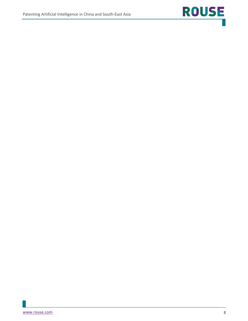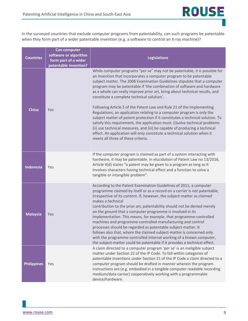In the surveyed countries that exclude computer programs from patentability, can such programs be patentable when they form part of a wider patentable invention (e.g. a software to control an X-ray machine)?

| <b>Countries</b>   | Can computer<br>software or algorithm<br>form part of a wider<br>patentable invention? | <b>Legislations</b>                                                                                                                                                                                                                                                                                                                                                                                                                                                                                                                                                                                                                                                                                                                                                                                                                                                                                                                                      |
|--------------------|----------------------------------------------------------------------------------------|----------------------------------------------------------------------------------------------------------------------------------------------------------------------------------------------------------------------------------------------------------------------------------------------------------------------------------------------------------------------------------------------------------------------------------------------------------------------------------------------------------------------------------------------------------------------------------------------------------------------------------------------------------------------------------------------------------------------------------------------------------------------------------------------------------------------------------------------------------------------------------------------------------------------------------------------------------|
| <b>China</b>       | Yes                                                                                    | While computer programs "per se" may not be patentable, it is possible for<br>an invention that incorporates a computer program to be patentable<br>subject matter. The 2006 Examination Guidelines stipulate that a computer<br>program may be patentable if 'the combination of software and hardware<br>as a whole can really improve prior art, bring about technical results, and<br>constitute a complete technical solution'.<br>Following Article 2 of the Patent Law and Rule 21 of the Implementing<br>Regulations, an application relating to a computer program is only the<br>subject matter of patent protection if it constitutes a technical solution. To<br>satisfy this requirement, the application must: (i)solve technical problems<br>(ii) use technical measures, and (iii) be capable of producing a technical<br>effect. An application will only constitute a technical solution when it<br>meets all three of these criteria. |
| Indonesia          | Yes                                                                                    | If the computer program is claimed as part of a system interacting with<br>hardware, it may be patentable. In elucidation of Patent Law no 13/2016,<br>Article 4(d) states "a patent may be given to a program as long as it<br>involves characters having technical effect and a function to solve a<br>tangible or intangible problem".                                                                                                                                                                                                                                                                                                                                                                                                                                                                                                                                                                                                                |
| <b>Malaysia</b>    | Yes                                                                                    | According to the Patent Examination Guidelines of 2011, a computer<br>programme claimed by itself or as a record on a carrier is not patentable,<br>irrespective of its content. If, however, the subject-matter as claimed<br>makes a technical<br>contribution to the prior art, patentability should not be denied merely<br>on the ground that a computer programme is involved in its<br>implementation. This means, for example, that programme-controlled<br>machines and programme-controlled manufacturing and control<br>processes should be regarded as patentable subject-matter. It<br>follows also that, where the claimed subject-matter is concerned only<br>with the programme-controlled internal working of a known computer,<br>the subject-matter could be patentable if it provides a technical effect.                                                                                                                            |
| <b>Philippines</b> | Yes                                                                                    | A claim directed to a computer program 'per se' is an ineligible subject<br>matter under Section 22 of the IP Code. To fall within categories of<br>patentable inventions under Section 21 of the IP Code a claim directed to a<br>computer program should be drafted in manner wherein the program<br>instructions are (e.g. embodied in a tangible computer readable recording<br>medium/data carrier) cooperatively working with a programmable<br>device/hardware.                                                                                                                                                                                                                                                                                                                                                                                                                                                                                   |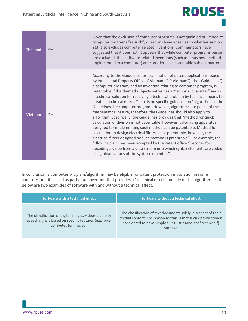# **ROUSE**

| <b>Thailand</b> | Yes | Given that the exclusion of computer programs is not qualified or limited to<br>computer programs "as such", questions have arisen as to whether section<br>9(3) also excludes computer related inventions. Commentators have<br>suggested that it does not. It appears that while computer programs per se<br>are excluded, that software-related inventions (such as a business method<br>implemented in a computer) are considered as patentable subject matter.                                                                                                                                                                                                                                                                                                                                                                                                                                                                                                                                                                                                                                                                                                                                                                |
|-----------------|-----|------------------------------------------------------------------------------------------------------------------------------------------------------------------------------------------------------------------------------------------------------------------------------------------------------------------------------------------------------------------------------------------------------------------------------------------------------------------------------------------------------------------------------------------------------------------------------------------------------------------------------------------------------------------------------------------------------------------------------------------------------------------------------------------------------------------------------------------------------------------------------------------------------------------------------------------------------------------------------------------------------------------------------------------------------------------------------------------------------------------------------------------------------------------------------------------------------------------------------------|
| <b>Vietnam</b>  | Yes | According to the Guidelines for examination of patent applications issued<br>by Intellectual Property Office of Vietnam ("IP Vietnam") (the "Guidelines")<br>a computer program, and an invention relating to computer program, is<br>patentable if the claimed subject-matter has a "technical character" and is<br>a technical solution for resolving a technical problem by technical means to<br>create a technical effect. There is no specific guidance on "algorithm" in the<br>Guidelines like computer program. However, algorithms are per se of the<br>mathematical nature, therefore, the Guidelines should also apply to<br>algorithm. Specifically, the Guidelines provides that "method for quick<br>calculation of division is not patentable, however, calculating apparatus<br>designed for implementing such method can be patentable. Method for<br>calculation to design electrical filters is not patentable, however, the<br>electrical filters designed by such method is patentable". For example, the<br>following claim has been accepted by the Patent office "Decoder for<br>decoding a video from a data stream into which syntax elements are coded<br>using binarizations of the syntax elements". |

In conclusion, a computer program/algorithm may be eligible for patent protection in isolation in some countries or if it is used as part of an invention that provides a "technical effect" outside of the algorithm itself. Below are two examples of software with and without a technical effect.

| Software with a technical effect                                                                                                           | Software without a technical effect                                                                                                                                                                                |
|--------------------------------------------------------------------------------------------------------------------------------------------|--------------------------------------------------------------------------------------------------------------------------------------------------------------------------------------------------------------------|
| The classification of digital images, videos, audio or<br>speech signals based on specific features (e.g. pixel<br>attributes for images). | The classification of text documents solely in respect of their<br>textual content. The reason for this is that such classification is<br>considered to have simply a linguistic (and not "technical")<br>purpose. |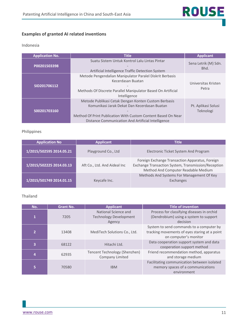

#### **Examples of granted AI related inventions**

#### Indonesia

| <b>Application No.</b> | <b>Title</b>                                                                                                                                                                                                                | <b>Applicant</b>                 |
|------------------------|-----------------------------------------------------------------------------------------------------------------------------------------------------------------------------------------------------------------------------|----------------------------------|
| P00201503398           | Suatu Sistem Untuk Kontrol Lalu Lintas Pintar<br>Artificial Intelligence Traffic Detection System                                                                                                                           | Sena Letrik (M) Sdn.<br>Bhd.     |
| SID201706112           | Metode Pengendalian Manipulator Paralel Diskrit Berbasis<br>Kecerdasan Buatan<br>Methods Of Discrete Parallel Manipulator Based On Artificial<br>Intelligence                                                               | Universitas Kristen<br>Petra     |
| S00201703160           | Metode Publikasi Cetak Dengan Konten Custom Berbasis<br>Komunikasi Jarak Dekat Dan Kecerdasan Buatan<br>Method Of Print Publication With Custom Content Based On Near<br>Distance Communication And Artificial Intelligence | Pt. Aplikasi Solusi<br>Teknologi |

#### Philippines

| <b>Application No</b>    | <b>Applicant</b>             | <b>Title</b>                                                                                                                                  |
|--------------------------|------------------------------|-----------------------------------------------------------------------------------------------------------------------------------------------|
| 1/2015/502595 2014.05.21 | Playground Co., Ltd          | Electronic Ticket System And Program                                                                                                          |
| 1/2015/502225 2014.03.13 | Aft Co., Ltd. And Aideal Inc | Foreign Exchange Transaction Apparatus, Foreign<br>Exchange Transaction System, Transmission/Reception<br>Method And Computer Readable Medium |
| 1/2015/501749 2014.01.15 | Keycafe Inc.                 | Methods And Systems For Management Of Key<br>Exchanges                                                                                        |

#### Thailand

| No.                     | <b>Grant No.</b> | <b>Applicant</b>                                                | <b>Title of invention</b>                                                                                          |
|-------------------------|------------------|-----------------------------------------------------------------|--------------------------------------------------------------------------------------------------------------------|
| 1                       | 7205             | National Science and<br><b>Technology Development</b><br>Agency | Process for classifying diseases in orchid<br>(Dendrobium) using a system to support<br>decision                   |
| $ 2\rangle$             | 13408            | MediTech Solutions Co., Ltd.                                    | System to send commands to a computer by<br>tracking movements of eyes staring at a point<br>on computer's monitor |
| $\overline{\mathbf{3}}$ | 68122            | Hitachi Ltd.                                                    | Data cooperation support system and data<br>cooperation support method                                             |
| 4                       | 62935            | Tencent Technology (Shenzhen)<br>Company Limited                | Friend recommendation method, apparatus<br>and storage medium                                                      |
| 5                       | 70580            | <b>IBM</b>                                                      | Facilitating communication between isolated<br>memory spaces of a communications<br>environment                    |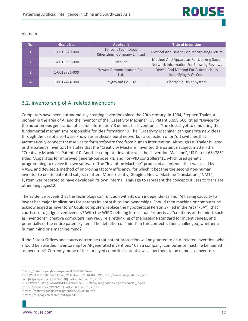

| No. | <b>Grant No.</b> | <b>Applicant</b>                                        | <b>Title of invention</b>                                                            |
|-----|------------------|---------------------------------------------------------|--------------------------------------------------------------------------------------|
| 1   | 1-0013620-000    | <b>Tencent Technology</b><br>(Shenzhen) Company Limited | Method And Device For Recognizing Picture                                            |
| G). | 1-0013998-000    | Oath Inc.                                               | Method And Apparatus For Utilizing Social<br>Network Information For Showing Reviews |
| 3   | 1-0018781-000    | Yewon Communication Co.,<br>Ltd.                        | Device And Method For Automatically<br>Identifying A Qr Code                         |
|     | 1-0017424-000    | Playground Co., Ltd.                                    | <b>Electronic Ticket System</b>                                                      |

Vietnam

#### 3.2. inventorship of AI related inventions

Computers have been autonomously creating inventions since the 20th century. In 1994, Stephen Thaler, a pioneer in the area of AI and the inventor of the "Creativity Machine", US Patent 5,659,666, titled "Device for the autonomous generation of useful information"8 defines his invention as "the closest yet to emulating the fundamental mechanisms responsible for idea formation"9. The "Creativity Machine" can generate new ideas through the use of a software known as artificial neural networks - a collection of on/off switches that automatically connect themselves to form software free from human intervention. Although Dr. Thaler is listed as the patent's inventor, he states that the "Creativity Machine" invented the patent's subject matter (the "Creativity Machine's Patent")10. Another computer inventor was the "Invention Machine", US Patent 6847851 titled "Apparatus for improved general-purpose PID and non-PID controllers"11 which used genetic programming to evolve its own software. The "Invention Machine" produced an antenna that was used by NASA, and devised a method of improving factory efficiency, for which it became the second non-human inventor to create patented subject matter. More recently, Google's Neural Machine Translation ("NMT") system was reported to have developed its own internal language to represent the concepts it uses to translate other languages12.

The evidence reveals that the technology can function with its own independent mind. AI having capacity to invent has major implications for patents inventorships and ownerships. Should then machine or computer be acknowledged as inventors? Could computers replace the hypothetical Person Skilled in the Art ("PSA"), that courts use to judge inventiveness? With the WIPO defining Intellectual Property as "creations of the mind, such as inventions", creative computers may require a rethinking of the baseline standard for inventiveness, and potentially of the entire patent system. The definition of "mind" in this context is then challenged; whether a human mind or a machine mind?

If the Patent Offices and courts determine that patent protection will be granted to an AI related invention, who should be awarded inventorship for AI-generated inventions? Can a company, computer or machine be named as inventors? Currently, none of the surveyed countries' patent laws allow them to be named as inventors.

<sup>8</sup> https://patents.google.com/patent/US5659666A/en

<sup>9</sup> See What Is the Ultimate Idea?, IMAGINATION ENGINES INC., http://www.imagination-engines.

com [https://perma.cc/P877-F33B] (last visited Jan. 25, 2016).

<sup>10</sup> See Patent Listing, IMAGINATION ENGINES INC., http://imagination-engines.com/iei\_ip.php

<sup>[</sup>https://perma.cc/N79N-NWEF] (last visited Jan. 25, 2016)

<sup>11</sup> https://patents.google.com/patent/US6847851B1/en

<sup>12</sup> https://ai.google/research/pubs/pub45610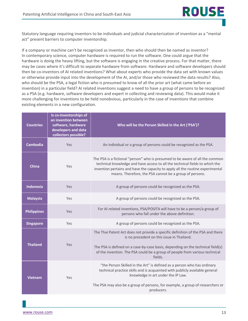

Statutory language requiring inventors to be individuals and judicial characterization of invention as a "mental act" present barriers to computer inventorship.

If a company or machine can't be recognized as inventor, then who should then be named as inventor? In contemporary science, computer hardware is required to run the software. One could argue that the hardware is doing the heavy lifting, but the software is engaging in the creative process. For that matter, there may be cases where it's difficult to separate hardware from software. Hardware and software developers should then be co-inventors of AI related inventions? What about experts who provide the data set with known values or otherwise provide input into the development of the AI, and/or those who reviewed the data results? Also, who should be the PSA, a legal fiction who is presumed to know of all the prior art (what came before an invention) in a particular field? AI related inventions suggest a need to have a group of persons to be recognized as a PSA (e.g. hardware, software developers and expert in collecting and reviewing data). This would make it more challenging for inventions to be held nonobvious, particularly in the case of inventions that combine existing elements in a new configuration.

| <b>Countries</b>   | Is co-inventorships of<br>an invention between<br>software, hardware<br>developers and data<br>collectors possible? | Who will be the Person Skilled in the Art ('PSA')?                                                                                                                                                                                                                                                         |
|--------------------|---------------------------------------------------------------------------------------------------------------------|------------------------------------------------------------------------------------------------------------------------------------------------------------------------------------------------------------------------------------------------------------------------------------------------------------|
| <b>Cambodia</b>    | Yes                                                                                                                 | An individual or a group of persons could be recognized as the PSA.                                                                                                                                                                                                                                        |
| <b>China</b>       | Yes                                                                                                                 | The PSA is a fictional "person" who is presumed to be aware of all the common<br>technical knowledge and have access to all the technical fields to which the<br>invention pertains and have the capacity to apply all the routine experimental<br>means. Therefore, the PSA cannot be a group of persons. |
| <b>Indonesia</b>   | Yes                                                                                                                 | A group of persons could be recognized as the PSA.                                                                                                                                                                                                                                                         |
| <b>Malaysia</b>    | Yes                                                                                                                 | A group of persons could be recognized as the PSA.                                                                                                                                                                                                                                                         |
| <b>Philippines</b> | Yes                                                                                                                 | For AI related inventions, PSA/POSITA will have to be a person/a group of<br>persons who fall under the above definition.                                                                                                                                                                                  |
| <b>Singapore</b>   | Yes                                                                                                                 | A group of persons could be recognized as the PSA.                                                                                                                                                                                                                                                         |
| <b>Thailand</b>    | Yes                                                                                                                 | The Thai Patent Act does not provide a specific definition of the PSA and there<br>is no precedent on this issue in Thailand.<br>The PSA is defined on a case-by-case basis, depending on the technical field(s)<br>of the invention. The PSA could be a group of people from various technical<br>fields. |
| Vietnam            | Yes                                                                                                                 | "the Person Skilled in the Art" is defined as a person who has ordinary<br>technical practice skills and is acquainted with publicly available general<br>knowledge in art under the IP Law.<br>The PSA may also be a group of persons, for example, a group of researchers or<br>producers.               |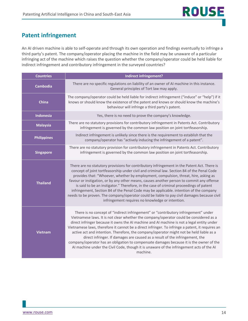### **Patent infringement**

An AI driven machine is able to self-operate and through its own operation and findings eventually to infringe a third party's patent. The company/operator placing the machine in the field may be unaware of a particular infringing act of the machine which raises the question whether the company/operator could be held liable for indirect infringement and contributory infringement in the surveyed countries?

| <b>Countries</b>   | Indirect infringement?                                                                                                                                                                                                                                                                                                                                                                                                                                                                                                                                                                                                                                                                                                                                        |  |  |
|--------------------|---------------------------------------------------------------------------------------------------------------------------------------------------------------------------------------------------------------------------------------------------------------------------------------------------------------------------------------------------------------------------------------------------------------------------------------------------------------------------------------------------------------------------------------------------------------------------------------------------------------------------------------------------------------------------------------------------------------------------------------------------------------|--|--|
| <b>Cambodia</b>    | There are no specific regulations on liability of an owner of AI machine in this instance.<br>General principles of Tort law may apply.                                                                                                                                                                                                                                                                                                                                                                                                                                                                                                                                                                                                                       |  |  |
| <b>China</b>       | The company/operator could be held liable for indirect infringement ("induce" or "help") if it<br>knows or should know the existence of the patent and knows or should know the machine's<br>behaviour will infringe a third party's patent.                                                                                                                                                                                                                                                                                                                                                                                                                                                                                                                  |  |  |
| <b>Indonesia</b>   | Yes, there is no need to prove the company's knowledge.                                                                                                                                                                                                                                                                                                                                                                                                                                                                                                                                                                                                                                                                                                       |  |  |
| <b>Malaysia</b>    | There are no statutory provisions for contributory infringement in Patents Act. Contributory<br>infringement is governed by the common law position on joint tortfeasorship.                                                                                                                                                                                                                                                                                                                                                                                                                                                                                                                                                                                  |  |  |
| <b>Philippines</b> | Indirect infringement is unlikely since there is the requirement to establish that the<br>company/operator has "actively inducing the infringement of a patent".                                                                                                                                                                                                                                                                                                                                                                                                                                                                                                                                                                                              |  |  |
| <b>Singapore</b>   | There are no statutory provision for contributory infringement in Patents Act. Contributory<br>infringement is governed by the common law position on joint tortfeasorship.                                                                                                                                                                                                                                                                                                                                                                                                                                                                                                                                                                                   |  |  |
| <b>Thailand</b>    | There are no statutory provisions for contributory infringement in the Patent Act. There is<br>concept of joint tortfeasorship under civil and criminal law. Section 84 of the Penal Code<br>provides that: "Whoever, whether by employment, compulsion, threat, hire, asking as<br>favour or instigation, or by any other means, causes another person to commit any offense<br>is said to be an instigator." Therefore, in the case of criminal proceedings of patent<br>infringement, Section 84 of the Penal Code may be applicable. intention of the company<br>needs to be proven. The company/operator could be liable to pay civil damages because civil<br>infringement requires no knowledge or intention.                                          |  |  |
| <b>Vietnam</b>     | There is no concept of "indirect infringement" or "contributory infringement" under<br>Vietnamese laws. It is not clear whether the company/operator could be considered as a<br>direct infringer because it owns the AI machine and AI machine is not a legal entity under<br>Vietnamese laws, therefore it cannot be a direct infringer. To infringe a patent, it requires an<br>active act and intention. Therefore, the company/operator might not be held liable as a<br>direct infringer. If damages are caused as a result of the infringement, the<br>company/operator has an obligation to compensate damages because it is the owner of the<br>AI machine under the Civil Code, though it is unaware of the infringement acts of the AI<br>machine. |  |  |